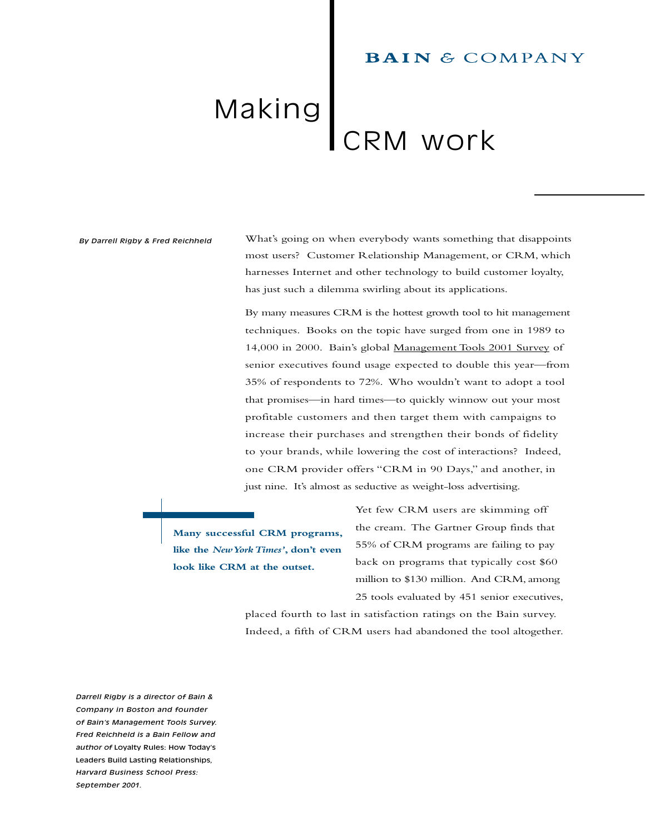## **BAIN & COMPANY**

# Making RM work

#### *By Darrell Rigby & Fred Reichheld*

What's going on when everybody wants something that disappoints most users? Customer Relationship Management, or CRM, which harnesses Internet and other technology to build customer loyalty, has just such a dilemma swirling about its applications.

By many measures CRM is the hottest growth tool to hit management techniques. Books on the topic have surged from one in 1989 to 14,000 in 2000. Bainís global Management Tools 2001 Survey of senior executives found usage expected to double this year-from 35% of respondents to 72%. Who wouldn't want to adopt a tool that promises—in hard times—to quickly winnow out your most profitable customers and then target them with campaigns to increase their purchases and strengthen their bonds of fidelity to your brands, while lowering the cost of interactions? Indeed, one CRM provider offers "CRM in 90 Days," and another, in just nine. It's almost as seductive as weight-loss advertising.

**Many successful CRM programs, like the** *New York Times'*, don't even **look like CRM at the outset.**

Yet few CRM users are skimming off the cream. The Gartner Group finds that 55% of CRM programs are failing to pay back on programs that typically cost \$60 million to \$130 million. And CRM, among 25 tools evaluated by 451 senior executives,

placed fourth to last in satisfaction ratings on the Bain survey. Indeed, a fifth of CRM users had abandoned the tool altogether.

*Darrell Rigby is a director of Bain & Company in Boston and founder of Bain's Management Tools Survey. Fred Reichheld is a Bain Fellow and author of* Loyalty Rules: How Today's Leaders Build Lasting Relationships*, Harvard Business School Press: September 2001.*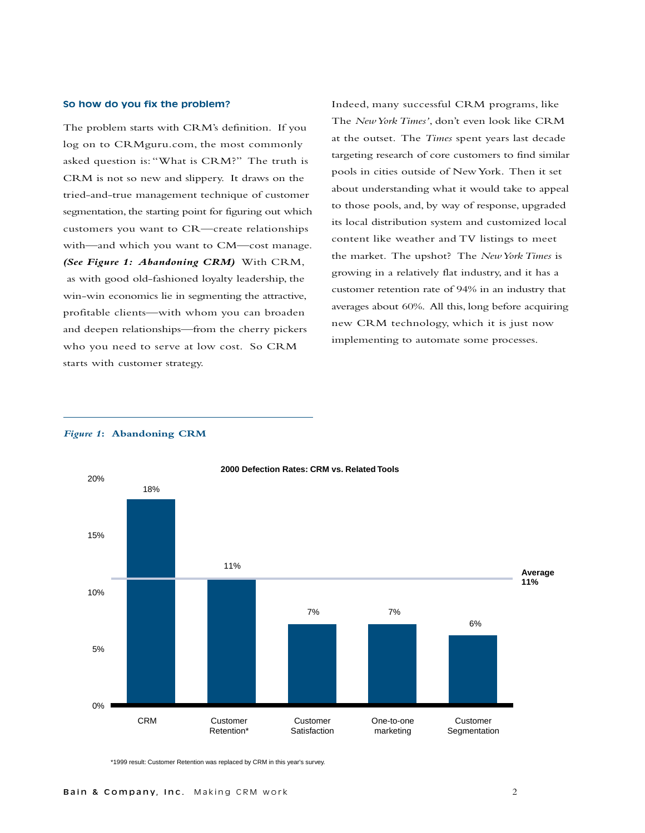#### **So how do you fix the problem?**

The problem starts with CRM's definition. If you log on to CRMguru.com, the most commonly asked question is: "What is CRM?" The truth is CRM is not so new and slippery. It draws on the tried-and-true management technique of customer segmentation, the starting point for figuring out which customers you want to CR-create relationships with—and which you want to CM—cost manage. *(See Figure 1: Abandoning CRM)* With CRM, as with good old-fashioned loyalty leadership, the win-win economics lie in segmenting the attractive, profitable clients-with whom you can broaden and deepen relationships-from the cherry pickers who you need to serve at low cost. So CRM starts with customer strategy.

Indeed, many successful CRM programs, like The *New York Times'*, don't even look like CRM at the outset. The *Times* spent years last decade targeting research of core customers to find similar pools in cities outside of New York. Then it set about understanding what it would take to appeal to those pools, and, by way of response, upgraded its local distribution system and customized local content like weather and TV listings to meet the market. The upshot? The *New York Times* is growing in a relatively flat industry, and it has a customer retention rate of 94% in an industry that averages about 60%. All this, long before acquiring new CRM technology, which it is just now implementing to automate some processes.

#### *Figure 1***: Abandoning CRM**



\*1999 result: Customer Retention was replaced by CRM in this year's survey.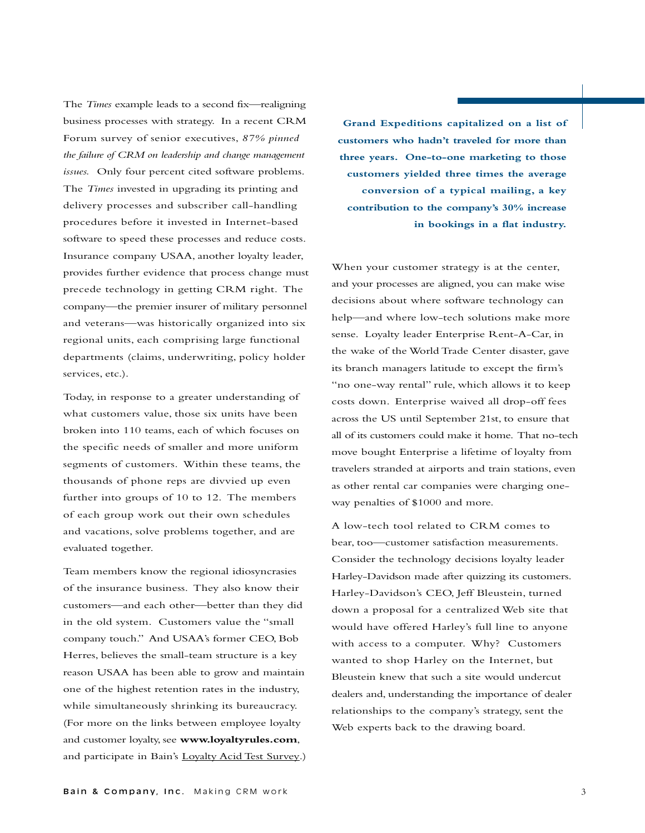The *Times* example leads to a second fix—realigning business processes with strategy. In a recent CRM Forum survey of senior executives, *87% pinned the failure of CRM on leadership and change management issues.* Only four percent cited software problems. The *Times* invested in upgrading its printing and delivery processes and subscriber call-handling procedures before it invested in Internet-based software to speed these processes and reduce costs. Insurance company USAA, another loyalty leader, provides further evidence that process change must precede technology in getting CRM right. The company—the premier insurer of military personnel and veterans-was historically organized into six regional units, each comprising large functional departments (claims, underwriting, policy holder services, etc.).

Today, in response to a greater understanding of what customers value, those six units have been broken into 110 teams, each of which focuses on the specific needs of smaller and more uniform segments of customers. Within these teams, the thousands of phone reps are divvied up even further into groups of 10 to 12. The members of each group work out their own schedules and vacations, solve problems together, and are evaluated together.

Team members know the regional idiosyncrasies of the insurance business. They also know their customers—and each other—better than they did in the old system. Customers value the "small company touch." And USAA's former CEO, Bob Herres, believes the small-team structure is a key reason USAA has been able to grow and maintain one of the highest retention rates in the industry, while simultaneously shrinking its bureaucracy. (For more on the links between employee loyalty and customer loyalty, see **www.loyaltyrules.com**, and participate in Bain's Loyalty Acid Test Survey.)

**Grand Expeditions capitalized on a list of customers who hadnít traveled for more than three years. One-to-one marketing to those customers yielded three times the average conversion of a typical mailing, a key contribution to the companyís 30% increase in bookings in a flat industry.**

When your customer strategy is at the center, and your processes are aligned, you can make wise decisions about where software technology can help—and where low-tech solutions make more sense. Loyalty leader Enterprise Rent-A-Car, in the wake of the World Trade Center disaster, gave its branch managers latitude to except the firmís "no one-way rental" rule, which allows it to keep costs down. Enterprise waived all drop-off fees across the US until September 21st, to ensure that all of its customers could make it home. That no-tech move bought Enterprise a lifetime of loyalty from travelers stranded at airports and train stations, even as other rental car companies were charging oneway penalties of \$1000 and more.

A low-tech tool related to CRM comes to bear, too-customer satisfaction measurements. Consider the technology decisions loyalty leader Harley-Davidson made after quizzing its customers. Harley-Davidson's CEO, Jeff Bleustein, turned down a proposal for a centralized Web site that would have offered Harley's full line to anyone with access to a computer. Why? Customers wanted to shop Harley on the Internet, but Bleustein knew that such a site would undercut dealers and, understanding the importance of dealer relationships to the company's strategy, sent the Web experts back to the drawing board.